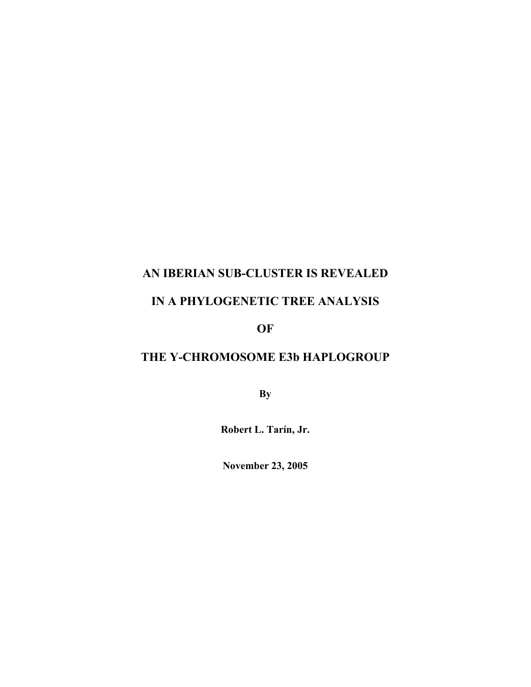## AN IBERIAN SUB-CLUSTER IS REVEALED

## IN A PHYLOGENETIC TREE ANALYSIS

OF

# THE Y-CHROMOSOME E3b HAPLOGROUP

**By** 

Robert L. Tarín, Jr.

November 23, 2005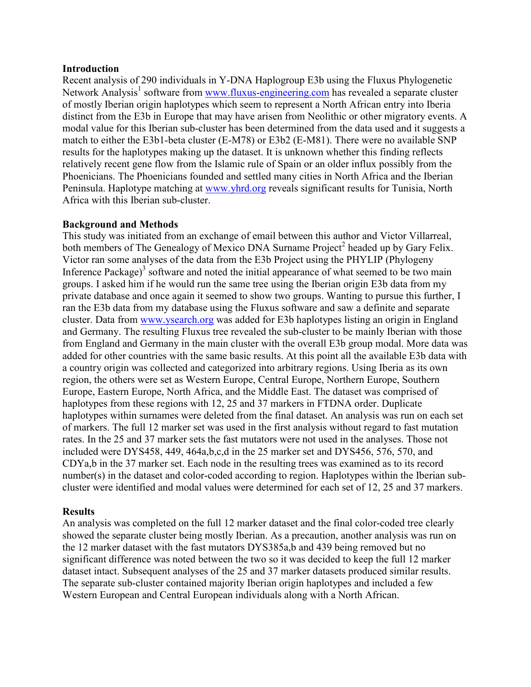#### Introduction

Recent analysis of 290 individuals in Y-DNA Haplogroup E3b using the Fluxus Phylogenetic Network Analysis<sup>1</sup> software from www.fluxus-engineering.com has revealed a separate cluster of mostly Iberian origin haplotypes which seem to represent a North African entry into Iberia distinct from the E3b in Europe that may have arisen from Neolithic or other migratory events. A modal value for this Iberian sub-cluster has been determined from the data used and it suggests a match to either the E3b1-beta cluster (E-M78) or E3b2 (E-M81). There were no available SNP results for the haplotypes making up the dataset. It is unknown whether this finding reflects relatively recent gene flow from the Islamic rule of Spain or an older influx possibly from the Phoenicians. The Phoenicians founded and settled many cities in North Africa and the Iberian Peninsula. Haplotype matching at www.yhrd.org reveals significant results for Tunisia, North Africa with this Iberian sub-cluster.

#### Background and Methods

This study was initiated from an exchange of email between this author and Victor Villarreal, both members of The Genealogy of Mexico DNA Surname Project<sup>2</sup> headed up by Gary Felix. Victor ran some analyses of the data from the E3b Project using the PHYLIP (Phylogeny Inference Package) $3$  software and noted the initial appearance of what seemed to be two main groups. I asked him if he would run the same tree using the Iberian origin E3b data from my private database and once again it seemed to show two groups. Wanting to pursue this further, I ran the E3b data from my database using the Fluxus software and saw a definite and separate cluster. Data from www.ysearch.org was added for E3b haplotypes listing an origin in England and Germany. The resulting Fluxus tree revealed the sub-cluster to be mainly Iberian with those from England and Germany in the main cluster with the overall E3b group modal. More data was added for other countries with the same basic results. At this point all the available E3b data with a country origin was collected and categorized into arbitrary regions. Using Iberia as its own region, the others were set as Western Europe, Central Europe, Northern Europe, Southern Europe, Eastern Europe, North Africa, and the Middle East. The dataset was comprised of haplotypes from these regions with 12, 25 and 37 markers in FTDNA order. Duplicate haplotypes within surnames were deleted from the final dataset. An analysis was run on each set of markers. The full 12 marker set was used in the first analysis without regard to fast mutation rates. In the 25 and 37 marker sets the fast mutators were not used in the analyses. Those not included were DYS458, 449, 464a,b,c,d in the 25 marker set and DYS456, 576, 570, and CDYa,b in the 37 marker set. Each node in the resulting trees was examined as to its record number(s) in the dataset and color-coded according to region. Haplotypes within the Iberian subcluster were identified and modal values were determined for each set of 12, 25 and 37 markers.

#### **Results**

An analysis was completed on the full 12 marker dataset and the final color-coded tree clearly showed the separate cluster being mostly Iberian. As a precaution, another analysis was run on the 12 marker dataset with the fast mutators DYS385a,b and 439 being removed but no significant difference was noted between the two so it was decided to keep the full 12 marker dataset intact. Subsequent analyses of the 25 and 37 marker datasets produced similar results. The separate sub-cluster contained majority Iberian origin haplotypes and included a few Western European and Central European individuals along with a North African.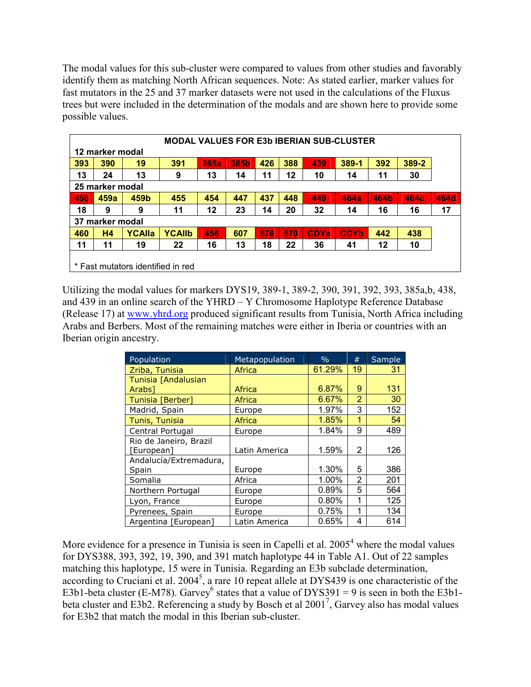The modal values for this sub-cluster were compared to values from other studies and favorably identify them as matching North African sequences. Note: As stated earlier, marker values for fast mutators in the 25 and 37 marker datasets were not used in the calculations of the Fluxus trees but were included in the determination of the modals and are shown here to provide some possible values.

| <b>MODAL VALUES FOR E3b IBERIAN SUB-CLUSTER</b> |      |               |               |             |      |     |     |             |             |      |       |             |
|-------------------------------------------------|------|---------------|---------------|-------------|------|-----|-----|-------------|-------------|------|-------|-------------|
| 12 marker modal                                 |      |               |               |             |      |     |     |             |             |      |       |             |
| 393                                             | 390  | 19            | 391           | <b>385a</b> | 385b | 426 | 388 | 439         | 389-1       | 392  | 389-2 |             |
| 13                                              | 24   | 13            | 9             | 13          | 14   | 11  | 12  | 10          | 14          | 11   | 30    |             |
| 25 marker modal                                 |      |               |               |             |      |     |     |             |             |      |       |             |
| 458                                             | 459a | 459b          | 455           | 454         | 447  | 437 | 448 | 449         | <b>464a</b> | 464b | 464c  | <b>464d</b> |
| 18                                              | 9    | 9             | 11            | 12          | 23   | 14  | 20  | 32          | 14          | 16   | 16    | 17          |
| 37<br>marker modal                              |      |               |               |             |      |     |     |             |             |      |       |             |
| 460                                             | H4   | <b>YCAlla</b> | <b>YCAllb</b> | 456         | 607  | 576 | 570 | <b>CDYa</b> | <b>CDYb</b> | 442  | 438   |             |
| 11                                              | 11   | 19            | 22            | 16          | 13   | 18  | 22  | 36          | 41          | 12   | 10    |             |
|                                                 |      |               |               |             |      |     |     |             |             |      |       |             |
| * Fast mutators identified in red               |      |               |               |             |      |     |     |             |             |      |       |             |

Utilizing the modal values for markers DYS19, 389-1, 389-2, 390, 391, 392, 393, 385a,b, 438, and 439 in an online search of the YHRD – Y Chromosome Haplotype Reference Database (Release 17) at www.yhrd.org produced significant results from Tunisia, North Africa including Arabs and Berbers. Most of the remaining matches were either in Iberia or countries with an Iberian origin ancestry.

| Population             | Metapopulation | $\frac{0}{0}$ | #              | Sample |
|------------------------|----------------|---------------|----------------|--------|
| Zriba, Tunisia         | Africa         | 61.29%        | 19             | 31     |
| Tunisia [Andalusian    |                |               |                |        |
| Arabs <sub>1</sub>     | Africa         | 6.87%         | 9              | 131    |
| Tunisia [Berber]       | Africa         | 6.67%         | $\overline{2}$ | 30     |
| Madrid, Spain          | Europe         | 1.97%         | 3              | 152    |
| Tunis, Tunisia         | Africa         | 1.85%         | 1              | 54     |
| Central Portugal       | Europe         | 1.84%         | 9              | 489    |
| Rio de Janeiro, Brazil |                |               |                |        |
| [European]             | Latin America  | 1.59%         | 2              | 126    |
| Andalucía/Extremadura, |                |               |                |        |
| Spain                  | Europe         | 1.30%         | 5              | 386    |
| Somalia                | Africa         | 1.00%         | $\overline{2}$ | 201    |
| Northern Portugal      | Europe         | 0.89%         | 5              | 564    |
| Lyon, France           | Europe         | 0.80%         | 1              | 125    |
| Pyrenees, Spain        | Europe         | 0.75%         | 1              | 134    |
| Argentina [European]   | Latin America  | 0.65%         | 4              | 614    |

More evidence for a presence in Tunisia is seen in Capelli et al.  $2005<sup>4</sup>$  where the modal values for DYS388, 393, 392, 19, 390, and 391 match haplotype 44 in Table A1. Out of 22 samples matching this haplotype, 15 were in Tunisia. Regarding an E3b subclade determination, according to Cruciani et al. 2004<sup>5</sup>, a rare 10 repeat allele at DYS439 is one characteristic of the E3b1-beta cluster (E-M78). Garvey<sup>6</sup> states that a value of DYS391 = 9 is seen in both the E3b1beta cluster and E3b2. Referencing a study by Bosch et al  $2001^7$ , Garvey also has modal values for E3b2 that match the modal in this Iberian sub-cluster.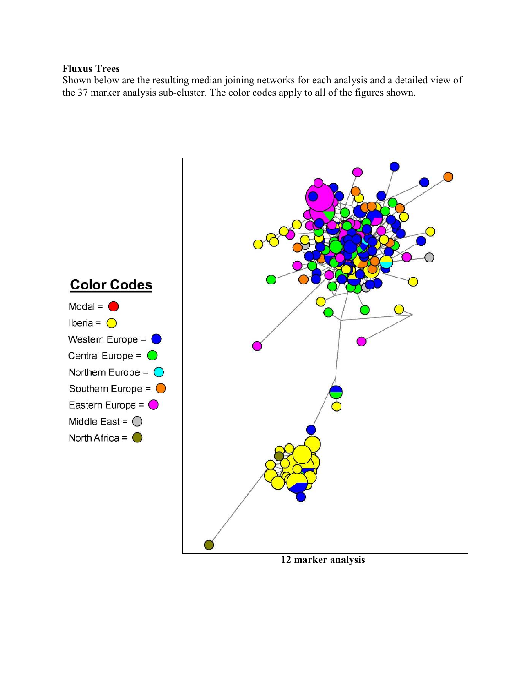### Fluxus Trees

Shown below are the resulting median joining networks for each analysis and a detailed view of the 37 marker analysis sub-cluster. The color codes apply to all of the figures shown.



12 marker analysis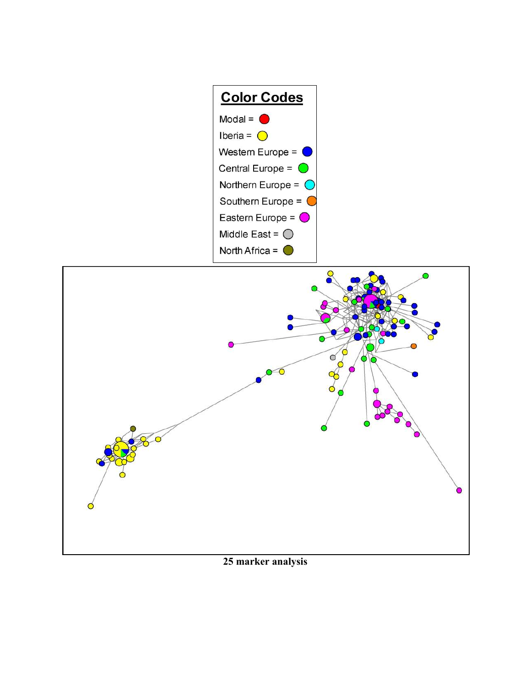



25 marker analysis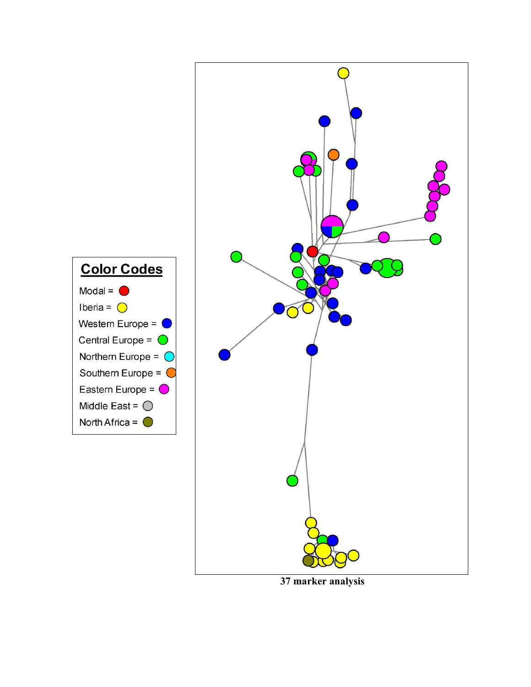



37 marker analysis